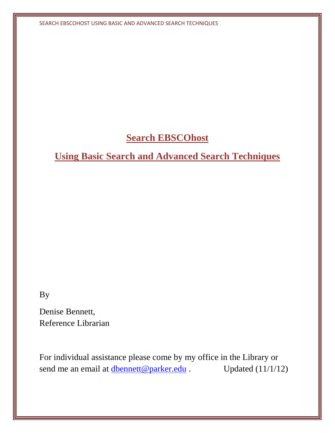# **Search EBSCOhost**

# **Using Basic Search and Advanced Search Techniques**

By

Denise Bennett, Reference Librarian

For individual assistance please come by my office in the Library or send me an email at  $\frac{dbennett@parker.edu}{dbennett@parker.edu}$  $\frac{dbennett@parker.edu}{dbennett@parker.edu}$  $\frac{dbennett@parker.edu}{dbennett@parker.edu}$ . Updated (11/1/12)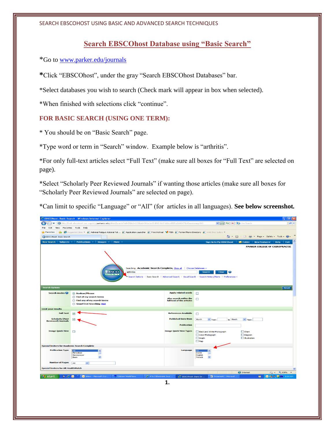# **Search EBSCOhost Database using "Basic Search"**

\*Go to [www.parker.edu/journals](http://www.parker.edu/journals) 

**\***Click "EBSCOhost", under the gray "Search EBSCOhost Databases" bar.

\*Select databases you wish to search (Check mark will appear in box when selected).

\*When finished with selections click "continue".

## **FOR BASIC SEARCH (USING ONE TERM):**

\* You should be on "Basic Search" page.

\*Type word or term in "Search" window. Example below is "arthritis".

\*For only full-text articles select "Full Text" (make sure all boxes for "Full Text" are selected on page).

\*Select "Scholarly Peer Reviewed Journals" if wanting those articles (make sure all boxes for "Scholarly Peer Reviewed Journals" are selected on page).

\*Can limit to specific "Language" or "All" (for articles in all languages). **See below screenshot***.*

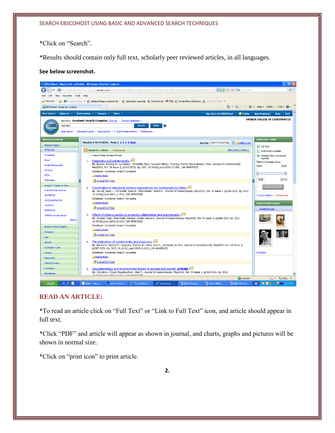\*Click on "Search".

\*Results should contain only full text, scholarly peer reviewed articles, in all languages.

#### **See below screenshot.**



## **READ AN ARTICLE:**

\*To read an article click on "Full Text" or "Link to Full Text" icon, and article should appear in full text.

\*Click "PDF" and article will appear as shown in journal, and charts, graphs and pictures will be shown in normal size.

\*Click on "print icon" to print article.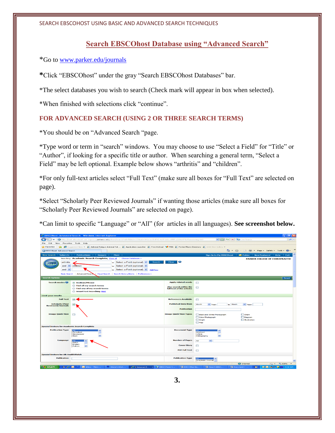# **Search EBSCOhost Database using "Advanced Search"**

\*Go to [www.parker.edu/journals](http://www.parker.edu/journals) 

**\***Click "EBSCOhost" under the gray "Search EBSCOhost Databases" bar.

\*The select databases you wish to search (Check mark will appear in box when selected).

\*When finished with selections click "continue".

# **FOR ADVANCED SEARCH (USING 2 OR THREE SEARCH TERMS)**

\*You should be on "Advanced Search "page.

\*Type word or term in "search" windows. You may choose to use "Select a Field" for "Title" or "Author", if looking for a specific title or author. When searching a general term, "Select a Field" may be left optional. Example below shows "arthritis" and "children".

\*For only full-text articles select "Full Text" (make sure all boxes for "Full Text" are selected on page).

\*Select "Scholarly Peer Reviewed Journals" if wanting those articles (make sure all boxes for "Scholarly Peer Reviewed Journals" are selected on page).

\*Can limit to specific "Language" or "All" (for articles in all languages). **See screenshot below.**

| - 10 D<br>C EBSCOhost: Advanced Search - Windows Internet Explorer                                                                                                    |                                                                        |                                   |                                                                                                                                                                                                                                                                                                                     |                                                                  |  |
|-----------------------------------------------------------------------------------------------------------------------------------------------------------------------|------------------------------------------------------------------------|-----------------------------------|---------------------------------------------------------------------------------------------------------------------------------------------------------------------------------------------------------------------------------------------------------------------------------------------------------------------|------------------------------------------------------------------|--|
| http://web.ebscohost.com.ezproxy.parkercc.edu/ehost/search?vid=58hid=1038sid=34be1e15-8f42-4b5f-b1bc-655fca2d4647%40sessionmgr110<br>$\rightarrow$                    |                                                                        |                                   | $\frac{1}{2}$ $\frac{1}{2}$ $\frac{1}{2}$ $\frac{1}{2}$ $\frac{1}{2}$ $\frac{1}{2}$ $\frac{1}{2}$ $\frac{1}{2}$ $\frac{1}{2}$ $\frac{1}{2}$ $\frac{1}{2}$ $\frac{1}{2}$ $\frac{1}{2}$ $\frac{1}{2}$ $\frac{1}{2}$ $\frac{1}{2}$ $\frac{1}{2}$ $\frac{1}{2}$ $\frac{1}{2}$ $\frac{1}{2}$ $\frac{1}{2}$ $\frac{1}{2}$ | - هرا                                                            |  |
| Edit<br>View<br>Favorites Tools Help<br>File                                                                                                                          |                                                                        |                                   |                                                                                                                                                                                                                                                                                                                     |                                                                  |  |
| Favorites<br>Suggested Sites . 2 Adrenal Fatigue Adrenal Fat 2 Application Launcher 2 Free Hotmail MMSN 2 Parker Phone Directory 2 Web Sitce Gallery .<br><b>Side</b> |                                                                        |                                   |                                                                                                                                                                                                                                                                                                                     |                                                                  |  |
| <b>A</b> 5 - 8 + 8<br>- Page - Safety - Tools -<br>EBSCOhost: Advanced Search                                                                                         |                                                                        |                                   |                                                                                                                                                                                                                                                                                                                     |                                                                  |  |
|                                                                                                                                                                       | New Search   Subjects v   Publications v   Images v   More v           |                                   | Sign In to My EBSCOhost   Colder                                                                                                                                                                                                                                                                                    | New Features! Help<br>Evit                                       |  |
|                                                                                                                                                                       | Searching: Academic Search Complete, Show all Choose Databases »       |                                   |                                                                                                                                                                                                                                                                                                                     | <b>PARKER COLLEGE OF CHIROPRACTIC</b>                            |  |
| arthritis<br><b>EBSCO</b>                                                                                                                                             | Search<br>in Select a Field (optional) $\sim$                          | Clear                             |                                                                                                                                                                                                                                                                                                                     |                                                                  |  |
| and $\sim$                                                                                                                                                            | children<br>in Select a Field (optional) $\vee$                        |                                   |                                                                                                                                                                                                                                                                                                                     |                                                                  |  |
| and $\sim$                                                                                                                                                            | in Select a Field (optional) $\vee$<br><b>Add Row</b>                  |                                   |                                                                                                                                                                                                                                                                                                                     |                                                                  |  |
| <b>Advanced Search</b><br>Visual Search Search History/Alerts Preferences »<br>Basic Search                                                                           |                                                                        |                                   |                                                                                                                                                                                                                                                                                                                     |                                                                  |  |
| <b>Search Options</b><br>Reset                                                                                                                                        |                                                                        |                                   |                                                                                                                                                                                                                                                                                                                     |                                                                  |  |
| <b>Search modes</b>                                                                                                                                                   | <b>6</b> Boolean/Phrase                                                | <b>Apply related words</b>        | $\Box$                                                                                                                                                                                                                                                                                                              |                                                                  |  |
|                                                                                                                                                                       | ◯ Find all my search terms                                             | <b>Also search within the</b>     | $\Box$                                                                                                                                                                                                                                                                                                              |                                                                  |  |
|                                                                                                                                                                       | ◯ Find any of my search terms<br>SmartText Searching Hint              | full text of the articles         |                                                                                                                                                                                                                                                                                                                     |                                                                  |  |
| <b>Limit your results</b>                                                                                                                                             |                                                                        |                                   |                                                                                                                                                                                                                                                                                                                     |                                                                  |  |
| <b>Full Text</b>                                                                                                                                                      |                                                                        | <b>References Available</b>       | $\Box$                                                                                                                                                                                                                                                                                                              |                                                                  |  |
|                                                                                                                                                                       |                                                                        |                                   |                                                                                                                                                                                                                                                                                                                     |                                                                  |  |
| <b>Scholarly (Peer</b><br><b>Reviewed) Journals</b>                                                                                                                   | $\overline{\phantom{0}}$                                               | <b>Published Date from</b>        | Month<br>$\vee$ Year:<br>to Month                                                                                                                                                                                                                                                                                   | $\vee$ Year:                                                     |  |
|                                                                                                                                                                       |                                                                        | <b>Publication</b>                |                                                                                                                                                                                                                                                                                                                     |                                                                  |  |
| <b>Image Quick View</b>                                                                                                                                               | □                                                                      | <b>Image Quick View Types</b>     | <b>Black and White Photograph</b>                                                                                                                                                                                                                                                                                   | $\Box$ Chart                                                     |  |
|                                                                                                                                                                       |                                                                        |                                   | Color Photograph                                                                                                                                                                                                                                                                                                    | Diagram                                                          |  |
|                                                                                                                                                                       |                                                                        |                                   | Graph<br>$\n  Map\n$                                                                                                                                                                                                                                                                                                | <b>Illustration</b>                                              |  |
| <b>Special limiters for Academic Search Complete</b>                                                                                                                  |                                                                        |                                   |                                                                                                                                                                                                                                                                                                                     |                                                                  |  |
| <b>Publication Type</b>                                                                                                                                               | AII.                                                                   | <b>Document Type</b>              | Λ1Ι                                                                                                                                                                                                                                                                                                                 |                                                                  |  |
|                                                                                                                                                                       | Periodical<br>Newspaper                                                |                                   | <b>Abstract</b><br><b>Article</b>                                                                                                                                                                                                                                                                                   |                                                                  |  |
|                                                                                                                                                                       | <b>Book</b>                                                            |                                   | <b>Bibliography</b>                                                                                                                                                                                                                                                                                                 |                                                                  |  |
| Language                                                                                                                                                              |                                                                        | <b>Number of Pages</b>            | AII<br>$\check{~}$                                                                                                                                                                                                                                                                                                  |                                                                  |  |
|                                                                                                                                                                       | <b>Dutch</b><br>English                                                | <b>Cover Story</b>                | $\Box$                                                                                                                                                                                                                                                                                                              |                                                                  |  |
|                                                                                                                                                                       | French                                                                 |                                   |                                                                                                                                                                                                                                                                                                                     |                                                                  |  |
|                                                                                                                                                                       |                                                                        | <b>PDF Full Text</b>              | $\Box$                                                                                                                                                                                                                                                                                                              |                                                                  |  |
| <b>Special limiters for Alt HealthWatch</b>                                                                                                                           |                                                                        |                                   |                                                                                                                                                                                                                                                                                                                     |                                                                  |  |
| <b>Publication</b>                                                                                                                                                    |                                                                        | <b>Publication Type</b>           | ΔI<br>Academic Journal                                                                                                                                                                                                                                                                                              |                                                                  |  |
|                                                                                                                                                                       |                                                                        |                                   |                                                                                                                                                                                                                                                                                                                     | <b>O</b> Internet<br>$\frac{1}{2}$ = $\frac{1}{2}$ 100% =        |  |
| $\diamond$ $\circ$ $\circ$<br><b>Start</b>                                                                                                                            | <b>C</b> Inbox - Micro<br>Unicorn Work<br>$2$ Internet E $\rightarrow$ | EBSCOhose S<br><b>EBSCOhos Ba</b> | <b>TA</b> Search EBSC                                                                                                                                                                                                                                                                                               | Document1 -<br><b>BIG + &amp; O. U. U. S. 32 AM</b><br><b>R3</b> |  |
|                                                                                                                                                                       |                                                                        |                                   |                                                                                                                                                                                                                                                                                                                     |                                                                  |  |